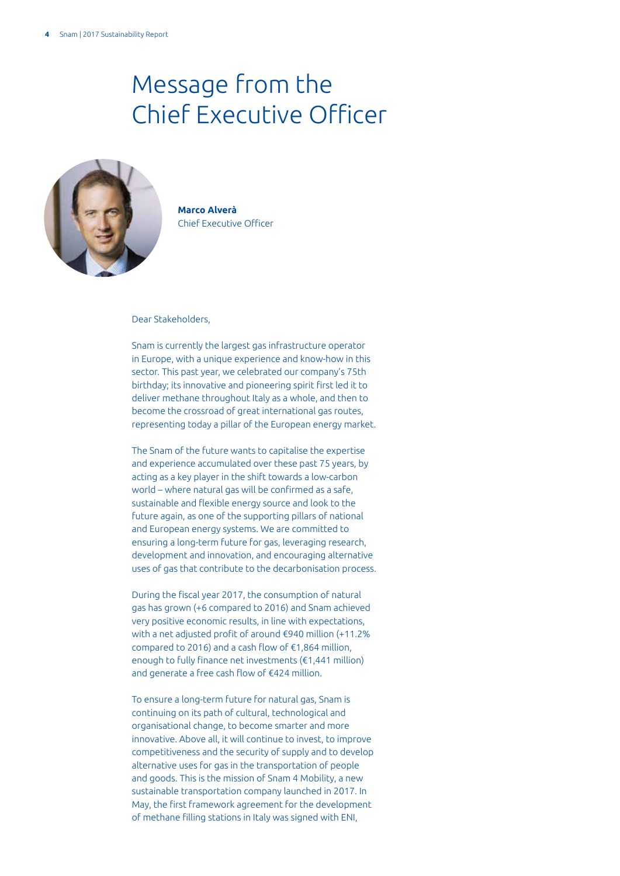## Message from the Chief Executive Officer



**Marco Alverà** Chief Executive Officer

Dear Stakeholders,

Snam is currently the largest gas infrastructure operator in Europe, with a unique experience and know-how in this sector. This past year, we celebrated our company's 75th birthday; its innovative and pioneering spirit first led it to deliver methane throughout Italy as a whole, and then to become the crossroad of great international gas routes, representing today a pillar of the European energy market.

The Snam of the future wants to capitalise the expertise and experience accumulated over these past 75 years, by acting as a key player in the shift towards a low-carbon world – where natural gas will be confirmed as a safe, sustainable and flexible energy source and look to the future again, as one of the supporting pillars of national and European energy systems. We are committed to ensuring a long-term future for gas, leveraging research, development and innovation, and encouraging alternative uses of gas that contribute to the decarbonisation process.

During the fiscal year 2017, the consumption of natural gas has grown (+6 compared to 2016) and Snam achieved very positive economic results, in line with expectations, with a net adjusted profit of around €940 million (+11.2% compared to 2016) and a cash flow of €1,864 million, enough to fully finance net investments (€1,441 million) and generate a free cash flow of €424 million.

To ensure a long-term future for natural gas, Snam is continuing on its path of cultural, technological and organisational change, to become smarter and more innovative. Above all, it will continue to invest, to improve competitiveness and the security of supply and to develop alternative uses for gas in the transportation of people and goods. This is the mission of Snam 4 Mobility, a new sustainable transportation company launched in 2017. In May, the first framework agreement for the development of methane filling stations in Italy was signed with ENI,